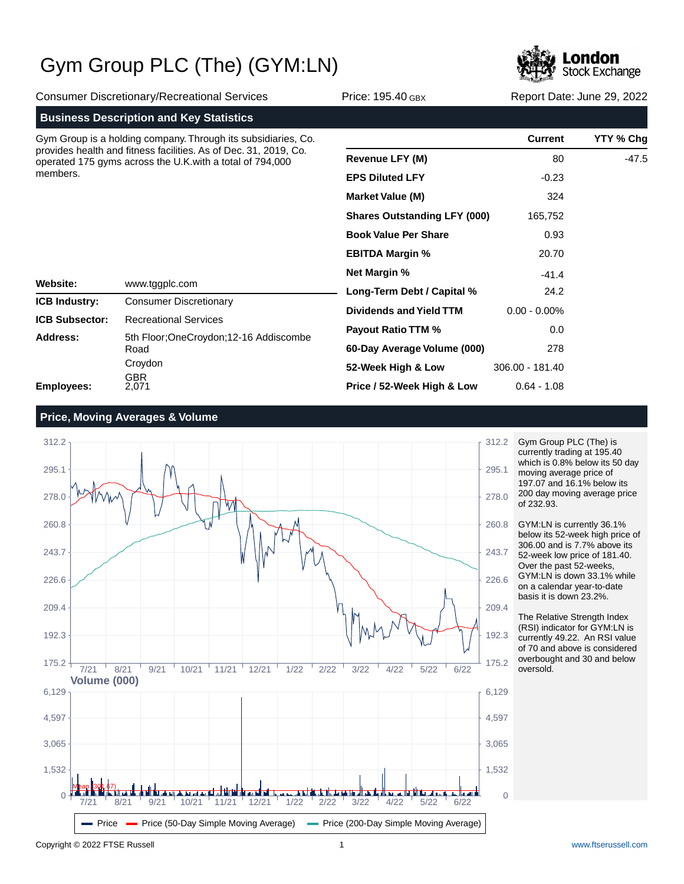

Consumer Discretionary/Recreational Services Price: 195.40 GBX Report Date: June 29, 2022 **Business Description and Key Statistics Website: ICB Industry: ICB Subsector: Address: Employees: Current YTY % Chg Revenue LFY (M) EPS Diluted LFY Market Value (M) Shares Outstanding LFY (000) Book Value Per Share EBITDA Margin % Net Margin % Long-Term Debt / Capital % Dividends and Yield TTM Payout Ratio TTM % 60-Day Average Volume (000) 52-Week High & Low Price / 52-Week High & Low** Gym Group is a holding company. Through its subsidiaries, Co. provides health and fitness facilities. As of Dec. 31, 2019, Co. operated 175 gyms across the U.K.with a total of 794,000 members. Consumer Discretionary Recreational Services www.tggplc.com 5th Floor;OneCroydon;12-16 Addiscombe Road Croydon GBR 2,071 80 -0.23 324 165,752 0.93 20.70 -41.4 24.2 0.00 - 0.00% 0.0 278 306.00 - 181.40 0.64 - 1.08 -47.5

### **Price, Moving Averages & Volume**



Gym Group PLC (The) is currently trading at 195.40 which is 0.8% below its 50 day moving average price of 197.07 and 16.1% below its 200 day moving average price of 232.93.

GYM:LN is currently 36.1% below its 52-week high price of 306.00 and is 7.7% above its 52-week low price of 181.40. Over the past 52-weeks, GYM:LN is down 33.1% while on a calendar year-to-date basis it is down 23.2%.

The Relative Strength Index (RSI) indicator for GYM:LN is currently 49.22. An RSI value of 70 and above is considered overbought and 30 and below oversold.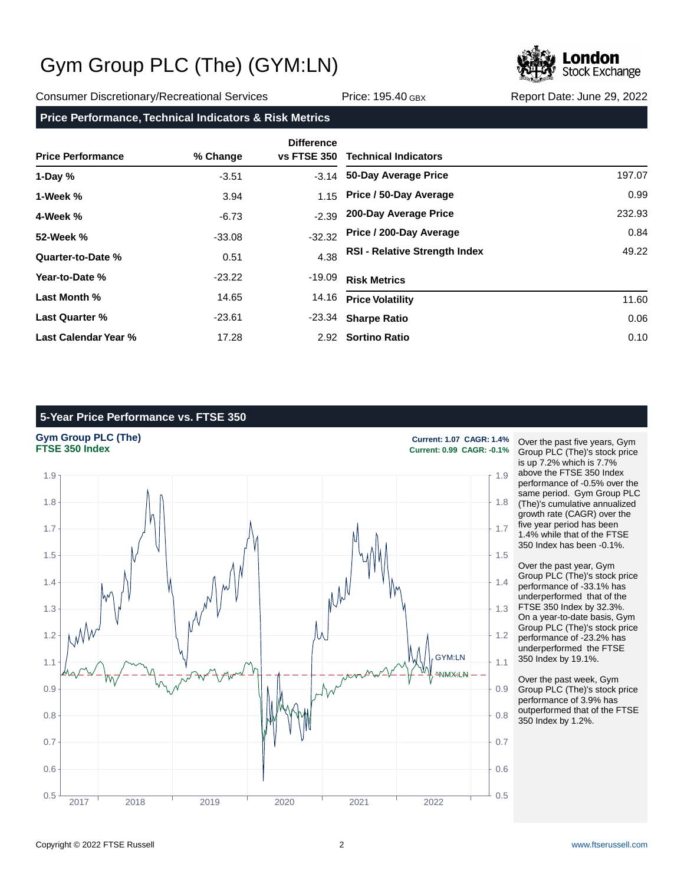

Consumer Discretionary/Recreational Services Price: 195.40 GBX Report Date: June 29, 2022

#### **Price Performance, Technical Indicators & Risk Metrics**

| <b>Price Performance</b> | % Change | <b>Difference</b><br><b>vs FTSE 350</b> | <b>Technical Indicators</b>          |        |
|--------------------------|----------|-----------------------------------------|--------------------------------------|--------|
| 1-Day $%$                | $-3.51$  |                                         | -3.14 50-Day Average Price           | 197.07 |
| 1-Week %                 | 3.94     |                                         | 1.15 Price / 50-Day Average          | 0.99   |
| 4-Week %                 | $-6.73$  | $-2.39$                                 | 200-Day Average Price                | 232.93 |
| 52-Week %                | $-33.08$ | $-32.32$                                | Price / 200-Day Average              | 0.84   |
| Quarter-to-Date %        | 0.51     | 4.38                                    | <b>RSI - Relative Strength Index</b> | 49.22  |
| Year-to-Date %           | $-23.22$ | $-19.09$                                | <b>Risk Metrics</b>                  |        |
| Last Month %             | 14.65    | 14.16                                   | <b>Price Volatility</b>              | 11.60  |
| Last Quarter %           | $-23.61$ |                                         | -23.34 Sharpe Ratio                  | 0.06   |
| Last Calendar Year %     | 17.28    |                                         | 2.92 Sortino Ratio                   | 0.10   |

### **5-Year Price Performance vs. FTSE 350**



Over the past five years, Gym Group PLC (The)'s stock price is up 7.2% which is 7.7% above the FTSE 350 Index performance of -0.5% over the same period. Gym Group PLC (The)'s cumulative annualized growth rate (CAGR) over the five year period has been 1.4% while that of the FTSE 350 Index has been -0.1%.

Over the past year, Gym Group PLC (The)'s stock price performance of -33.1% has underperformed that of the FTSE 350 Index by 32.3%. On a year-to-date basis, Gym Group PLC (The)'s stock price performance of -23.2% has underperformed the FTSE 350 Index by 19.1%.

Over the past week, Gym Group PLC (The)'s stock price performance of 3.9% has outperformed that of the FTSE 350 Index by 1.2%.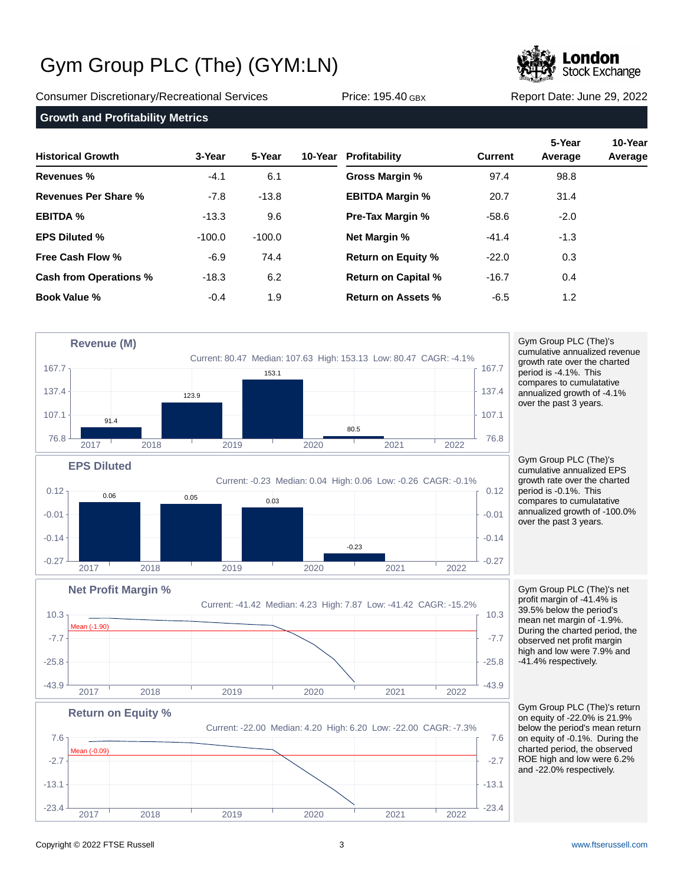

Consumer Discretionary/Recreational Services Price: 195.40 GBX Report Date: June 29, 2022

**Growth and Profitability Metrics**

| <b>Historical Growth</b>      | 3-Year   | 5-Year   | 10-Year Profitability      | <b>Current</b> | 5-Year<br>Average | 10-Year<br>Average |
|-------------------------------|----------|----------|----------------------------|----------------|-------------------|--------------------|
| Revenues %                    | $-4.1$   | 6.1      | Gross Margin %             | 97.4           | 98.8              |                    |
| Revenues Per Share %          | $-7.8$   | $-13.8$  | <b>EBITDA Margin %</b>     | 20.7           | 31.4              |                    |
| <b>EBITDA %</b>               | $-13.3$  | 9.6      | <b>Pre-Tax Margin %</b>    | $-58.6$        | $-2.0$            |                    |
| <b>EPS Diluted %</b>          | $-100.0$ | $-100.0$ | <b>Net Margin %</b>        | $-41.4$        | $-1.3$            |                    |
| <b>Free Cash Flow %</b>       | $-6.9$   | 74.4     | <b>Return on Equity %</b>  | $-22.0$        | 0.3               |                    |
| <b>Cash from Operations %</b> | $-18.3$  | 6.2      | <b>Return on Capital %</b> | $-16.7$        | 0.4               |                    |
| <b>Book Value %</b>           | $-0.4$   | 1.9      | <b>Return on Assets %</b>  | $-6.5$         | 1.2               |                    |



 $-23.4$   $-23.4$   $-23.4$   $-23.4$   $-23.4$ 

2017 2018 2019 2020 2021 2022

Gym Group PLC (The)'s cumulative annualized revenue growth rate over the charted period is -4.1%. This compares to cumulatative annualized growth of -4.1% over the past 3 years.

Gym Group PLC (The)'s cumulative annualized EPS growth rate over the charted period is -0.1%. This compares to cumulatative annualized growth of -100.0% over the past 3 years.

Gym Group PLC (The)'s net profit margin of -41.4% is 39.5% below the period's mean net margin of -1.9%. During the charted period, the observed net profit margin high and low were 7.9% and -41.4% respectively.

Gym Group PLC (The)'s return on equity of -22.0% is 21.9% below the period's mean return on equity of -0.1%. During the charted period, the observed ROE high and low were 6.2% and -22.0% respectively.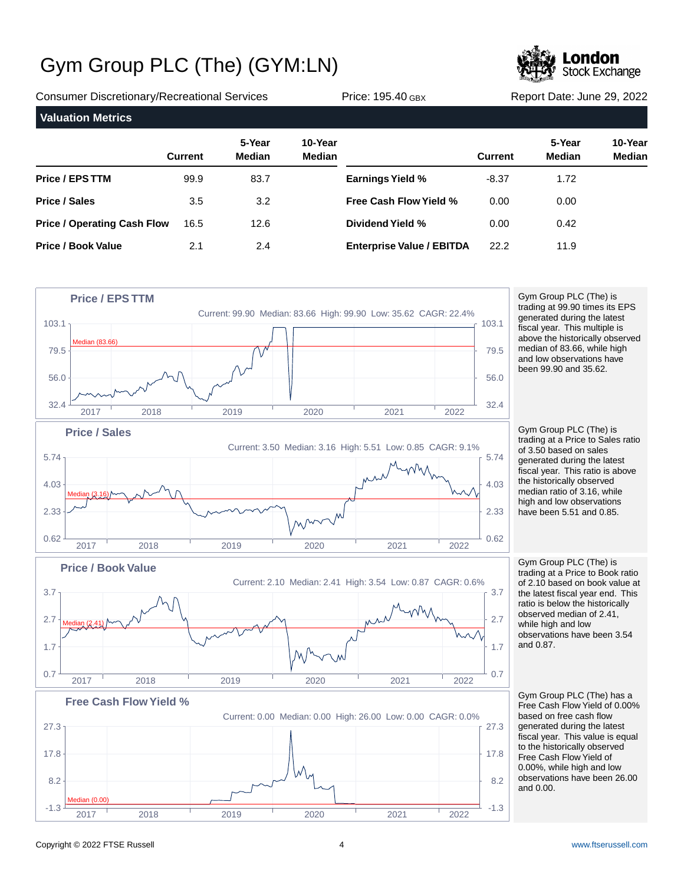

Consumer Discretionary/Recreational Services Price: 195.40 GBX Report Date: June 29, 2022 **Valuation Metrics**

|                                    | <b>Current</b> | 5-Year<br><b>Median</b> | 10-Year<br><b>Median</b> |                                  | <b>Current</b> | 5-Year<br><b>Median</b> | 10-Year<br><b>Median</b> |
|------------------------------------|----------------|-------------------------|--------------------------|----------------------------------|----------------|-------------------------|--------------------------|
| <b>Price / EPS TTM</b>             | 99.9           | 83.7                    |                          | <b>Earnings Yield %</b>          | $-8.37$        | 1.72                    |                          |
| <b>Price / Sales</b>               | 3.5            | 3.2                     |                          | <b>Free Cash Flow Yield %</b>    | 0.00           | 0.00                    |                          |
| <b>Price / Operating Cash Flow</b> | 16.5           | 12.6                    |                          | Dividend Yield %                 | 0.00           | 0.42                    |                          |
| <b>Price / Book Value</b>          | 2.1            | 2.4                     |                          | <b>Enterprise Value / EBITDA</b> | 22.2           | 11.9                    |                          |



Gym Group PLC (The) is trading at 99.90 times its EPS generated during the latest fiscal year. This multiple is above the historically observed median of 83.66, while high and low observations have been 99.90 and 35.62.

Gym Group PLC (The) is trading at a Price to Sales ratio of 3.50 based on sales generated during the latest fiscal year. This ratio is above the historically observed median ratio of 3.16, while high and low observations have been 5.51 and 0.85.

Gym Group PLC (The) is trading at a Price to Book ratio of 2.10 based on book value at the latest fiscal year end. This ratio is below the historically observed median of 2.41, while high and low observations have been 3.54 and 0.87.

Gym Group PLC (The) has a Free Cash Flow Yield of 0.00% based on free cash flow generated during the latest fiscal year. This value is equal to the historically observed Free Cash Flow Yield of 0.00%, while high and low observations have been 26.00 and 0.00.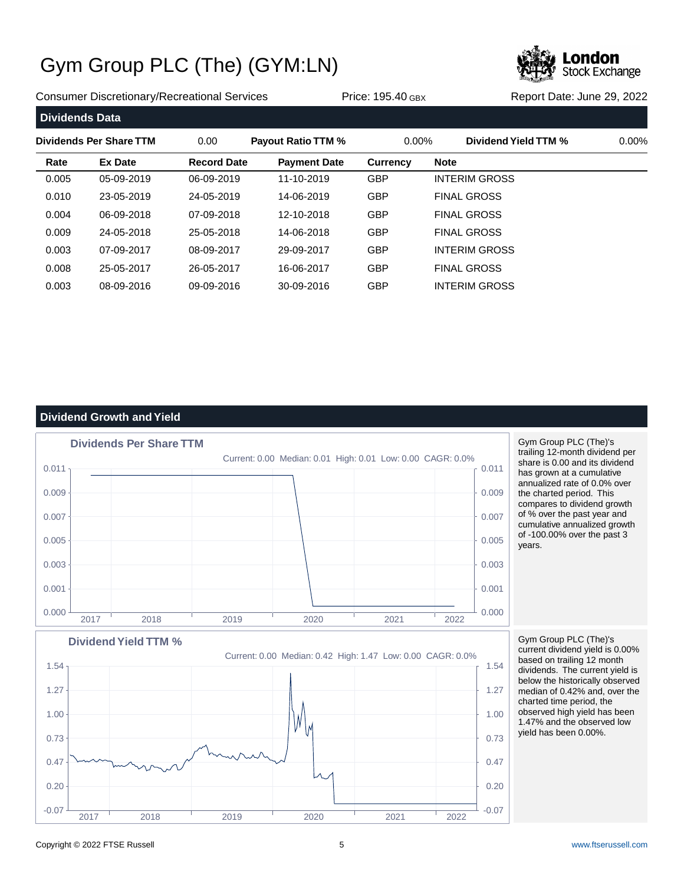

Consumer Discretionary/Recreational Services Price: 195.40 GBX Report Date: June 29, 2022

| <b>Dividends Data</b>   |                |                    |                           |                 |                      |          |
|-------------------------|----------------|--------------------|---------------------------|-----------------|----------------------|----------|
| Dividends Per Share TTM |                | 0.00               | <b>Payout Ratio TTM %</b> | $0.00\%$        | Dividend Yield TTM % | $0.00\%$ |
| Rate                    | <b>Ex Date</b> | <b>Record Date</b> | <b>Payment Date</b>       | <b>Currency</b> | <b>Note</b>          |          |
| 0.005                   | 05-09-2019     | 06-09-2019         | 11-10-2019                | <b>GBP</b>      | <b>INTERIM GROSS</b> |          |
| 0.010                   | 23-05-2019     | 24-05-2019         | 14-06-2019                | <b>GBP</b>      | <b>FINAL GROSS</b>   |          |
| 0.004                   | 06-09-2018     | 07-09-2018         | 12-10-2018                | <b>GBP</b>      | <b>FINAL GROSS</b>   |          |
| 0.009                   | 24-05-2018     | 25-05-2018         | 14-06-2018                | <b>GBP</b>      | <b>FINAL GROSS</b>   |          |
| 0.003                   | 07-09-2017     | 08-09-2017         | 29-09-2017                | <b>GBP</b>      | <b>INTERIM GROSS</b> |          |
| 0.008                   | 25-05-2017     | 26-05-2017         | 16-06-2017                | <b>GBP</b>      | <b>FINAL GROSS</b>   |          |
| 0.003                   | 08-09-2016     | 09-09-2016         | 30-09-2016                | <b>GBP</b>      | <b>INTERIM GROSS</b> |          |

### **Dividend Growth and Yield**



Gym Group PLC (The)'s trailing 12-month dividend per share is 0.00 and its dividend has grown at a cumulative annualized rate of 0.0% over the charted period. This compares to dividend growth of % over the past year and cumulative annualized growth of -100.00% over the past 3 years.

### Current: 0.00 Median: 0.42 High: 1.47 Low: 0.00 CAGR: 0.0% **Dividend Yield TTM %**  $-0.07$   $-0.07$   $-0.07$   $-0.07$   $-0.07$   $-0.07$   $-0.07$   $-0.07$   $-0.07$ 0.20  $+$  0.20  $+$  0.20  $+$  0.20  $+$  0.20  $+$  0.20  $+$  0.20  $+$  0.20  $+$  0.20  $+$  0.20  $+$  0.20  $+$  0.20  $+$  0.20  $+$  0.20  $+$  0.20  $+$  0.20  $+$  0.20  $+$  0.20  $+$  0.20  $+$  0.20  $+$  0.20  $+$  0.20  $+$  0.20  $+$  0.20  $+$  0.20  $0.47 + 0.47 + 0.8 - 0.01$ 0.73  $\uparrow$  0.73  $1.00 + 1.00$ 1.27 1.27 1.54 and the contract of the contract of the contract of the contract of the contract of the contract of the contract of the contract of the contract of the contract of the contract of the contract of the contract of the 2017 2018 2019 2020 2021 2022

Gym Group PLC (The)'s current dividend yield is 0.00% based on trailing 12 month dividends. The current yield is below the historically observed median of 0.42% and, over the charted time period, the observed high yield has been 1.47% and the observed low yield has been 0.00%.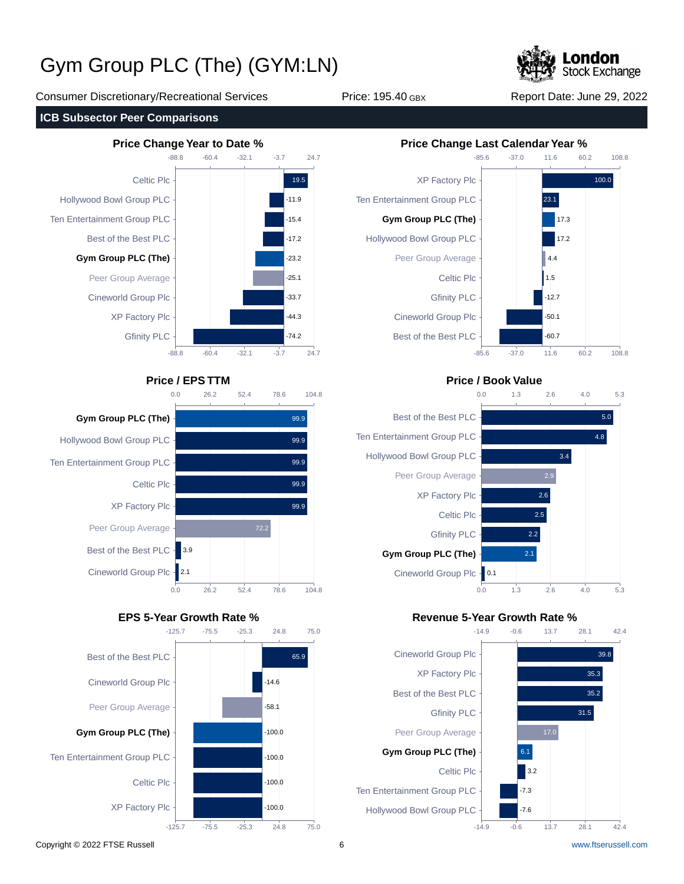

Consumer Discretionary/Recreational Services Price: 195.40 GBX Report Date: June 29, 2022















#### **Price / EPS TTM Price / Book Value**



### **EPS 5-Year Growth Rate % Revenue 5-Year Growth Rate %**

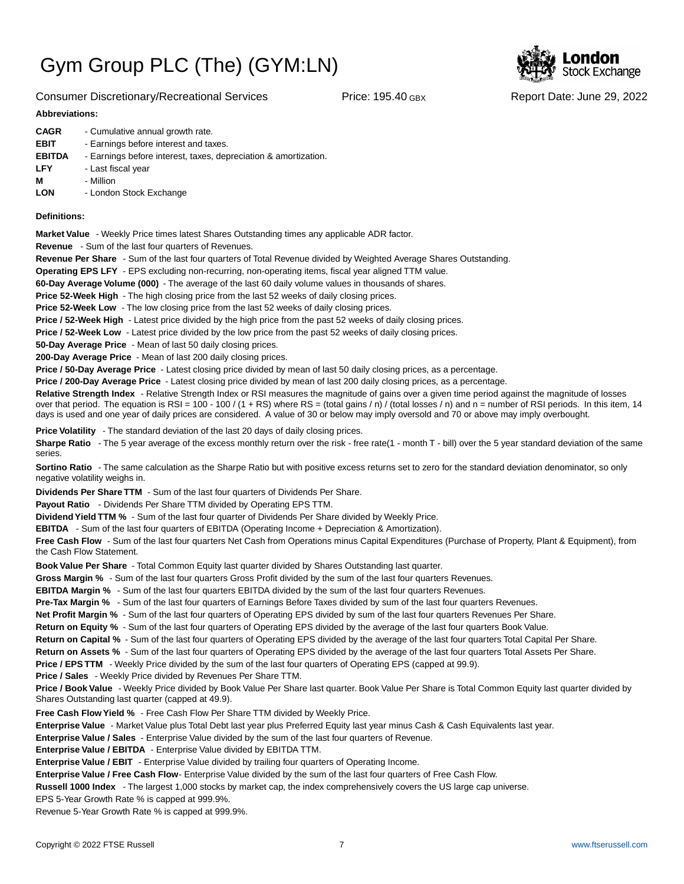



#### **Abbreviations:**

| <b>CAGR</b>   | - Cumulative annual growth rate.                                |
|---------------|-----------------------------------------------------------------|
| <b>EBIT</b>   | - Earnings before interest and taxes.                           |
| <b>EBITDA</b> | - Earnings before interest, taxes, depreciation & amortization. |
| <b>LFY</b>    | - Last fiscal year                                              |
| М             | - Million                                                       |
| <b>LON</b>    | - London Stock Exchange                                         |
|               |                                                                 |

#### **Definitions:**

**Market Value** - Weekly Price times latest Shares Outstanding times any applicable ADR factor.

**Revenue** - Sum of the last four quarters of Revenues.

**Revenue Per Share** - Sum of the last four quarters of Total Revenue divided by Weighted Average Shares Outstanding.

**Operating EPS LFY** - EPS excluding non-recurring, non-operating items, fiscal year aligned TTM value.

60-Day Average Volume (000) - The average of the last 60 daily volume values in thousands of shares.

**Price 52-Week High** - The high closing price from the last 52 weeks of daily closing prices.

**Price 52-Week Low** - The low closing price from the last 52 weeks of daily closing prices.

**Price / 52-Week High** - Latest price divided by the high price from the past 52 weeks of daily closing prices.

**Price / 52-Week Low** - Latest price divided by the low price from the past 52 weeks of daily closing prices.

**50-Day Average Price** - Mean of last 50 daily closing prices.

**200-Day Average Price** - Mean of last 200 daily closing prices.

Price / 50-Day Average Price - Latest closing price divided by mean of last 50 daily closing prices, as a percentage.

**Price / 200-Day Average Price** - Latest closing price divided by mean of last 200 daily closing prices, as a percentage.

Relative Strength Index - Relative Strength Index or RSI measures the magnitude of gains over a given time period against the magnitude of losses over that period. The equation is RSI = 100 - 100 / (1 + RS) where RS = (total gains / n) / (total losses / n) and n = number of RSI periods. In this item, 14 days is used and one year of daily prices are considered. A value of 30 or below may imply oversold and 70 or above may imply overbought.

**Price Volatility** - The standard deviation of the last 20 days of daily closing prices.

Sharpe Ratio - The 5 year average of the excess monthly return over the risk - free rate(1 - month T - bill) over the 5 year standard deviation of the same series.

**Sortino Ratio** - The same calculation as the Sharpe Ratio but with positive excess returns set to zero for the standard deviation denominator, so only negative volatility weighs in.

**Dividends Per Share TTM** - Sum of the last four quarters of Dividends Per Share.

Payout Ratio - Dividends Per Share TTM divided by Operating EPS TTM.

**Dividend Yield TTM %** - Sum of the last four quarter of Dividends Per Share divided by Weekly Price.

**EBITDA** - Sum of the last four quarters of EBITDA (Operating Income + Depreciation & Amortization).

**Free Cash Flow** - Sum of the last four quarters Net Cash from Operations minus Capital Expenditures (Purchase of Property, Plant & Equipment), from the Cash Flow Statement.

**Book Value Per Share** - Total Common Equity last quarter divided by Shares Outstanding last quarter.

**Gross Margin %** - Sum of the last four quarters Gross Profit divided by the sum of the last four quarters Revenues.

**EBITDA Margin %** - Sum of the last four quarters EBITDA divided by the sum of the last four quarters Revenues.

**Pre-Tax Margin %** - Sum of the last four quarters of Earnings Before Taxes divided by sum of the last four quarters Revenues.

**Net Profit Margin %** - Sum of the last four quarters of Operating EPS divided by sum of the last four quarters Revenues Per Share.

**Return on Equity %** - Sum of the last four quarters of Operating EPS divided by the average of the last four quarters Book Value.

**Return on Capital %** - Sum of the last four quarters of Operating EPS divided by the average of the last four quarters Total Capital Per Share.

**Return on Assets %** - Sum of the last four quarters of Operating EPS divided by the average of the last four quarters Total Assets Per Share.

**Price / EPS TTM** - Weekly Price divided by the sum of the last four quarters of Operating EPS (capped at 99.9).

**Price / Sales** - Weekly Price divided by Revenues Per Share TTM.

**Price / Book Value** - Weekly Price divided by Book Value Per Share last quarter. Book Value Per Share is Total Common Equity last quarter divided by Shares Outstanding last quarter (capped at 49.9).

**Free Cash Flow Yield %** - Free Cash Flow Per Share TTM divided by Weekly Price.

Enterprise Value - Market Value plus Total Debt last year plus Preferred Equity last year minus Cash & Cash Equivalents last year.

**Enterprise Value / Sales** - Enterprise Value divided by the sum of the last four quarters of Revenue.

**Enterprise Value / EBITDA** - Enterprise Value divided by EBITDA TTM.

**Enterprise Value / EBIT** - Enterprise Value divided by trailing four quarters of Operating Income.

Enterprise Value / Free Cash Flow- Enterprise Value divided by the sum of the last four quarters of Free Cash Flow.

**Russell 1000 Index** - The largest 1,000 stocks by market cap, the index comprehensively covers the US large cap universe.

EPS 5-Year Growth Rate % is capped at 999.9%.

Revenue 5-Year Growth Rate % is capped at 999.9%.